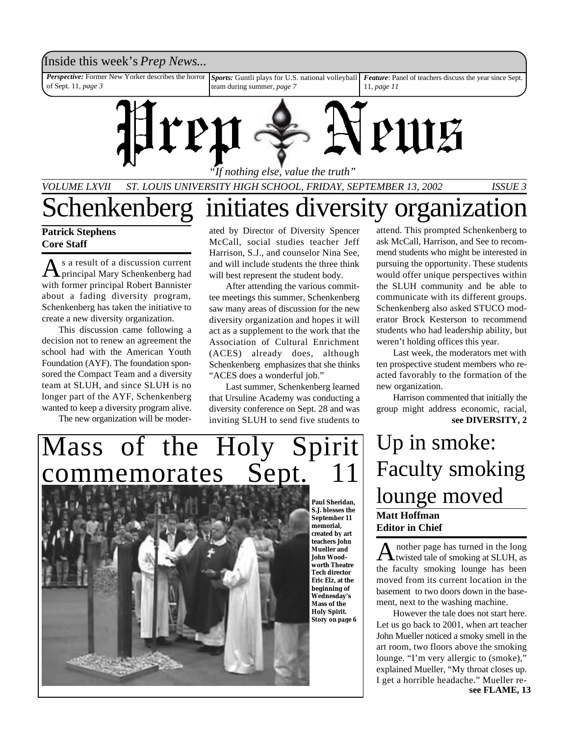### Inside this week's *Prep News*...

*Feature*: Panel of teachers discuss the year since Sept. 11, *page 11 Sports:* Guntli plays for U.S. national volleyball team during summer, *page 7 Perspective:* Former New Yorker describes the horror of Sept. 11, *page 3*



*VOLUME LXVII ST. LOUIS UNIVERSITY HIGH SCHOOL, FRIDAY, SEPTEMBER 13, 2002 ISSUE 3* Schenkenberg initiates diversity organization

### **Patrick Stephens Core Staff**

As a result of a discussion current<br>principal Mary Schenkenberg had s a result of a discussion current with former principal Robert Bannister about a fading diversity program, Schenkenberg has taken the initiative to create a new diversity organization.

This discussion came following a decision not to renew an agreement the school had with the American Youth Foundation (AYF). The foundation sponsored the Compact Team and a diversity team at SLUH, and since SLUH is no longer part of the AYF, Schenkenberg wanted to keep a diversity program alive.

The new organization will be moder-

ated by Director of Diversity Spencer McCall, social studies teacher Jeff Harrison, S.J., and counselor Nina See, and will include students the three think will best represent the student body.

After attending the various committee meetings this summer, Schenkenberg saw many areas of discussion for the new diversity organization and hopes it will act as a supplement to the work that the Association of Cultural Enrichment (ACES) already does, although Schenkenberg emphasizes that she thinks "ACES does a wonderful job."

Last summer, Schenkenberg learned that Ursuline Academy was conducting a diversity conference on Sept. 28 and was inviting SLUH to send five students to **see DIVERSITY, 2** 

attend. This prompted Schenkenberg to ask McCall, Harrison, and See to recommend students who might be interested in pursuing the opportunity. These students would offer unique perspectives within the SLUH community and be able to communicate with its different groups. Schenkenberg also asked STUCO moderator Brock Kesterson to recommend students who had leadership ability, but weren't holding offices this year.

Last week, the moderators met with ten prospective student members who reacted favorably to the formation of the new organization.

Harrison commented that initially the group might address economic, racial,

## **Matt Hoffman Editor in Chief** Up in smoke: Faculty smoking lounge moved

A nother page has turned in the long<br>twisted tale of smoking at SLUH, as nother page has turned in the long the faculty smoking lounge has been moved from its current location in the basement to two doors down in the basement, next to the washing machine.

However the tale does not start here. Let us go back to 2001, when art teacher John Mueller noticed a smoky smell in the art room, two floors above the smoking lounge. "I'm very allergic to (smoke)," explained Mueller, "My throat closes up. I get a horrible headache." Mueller re**see FLAME, 13**

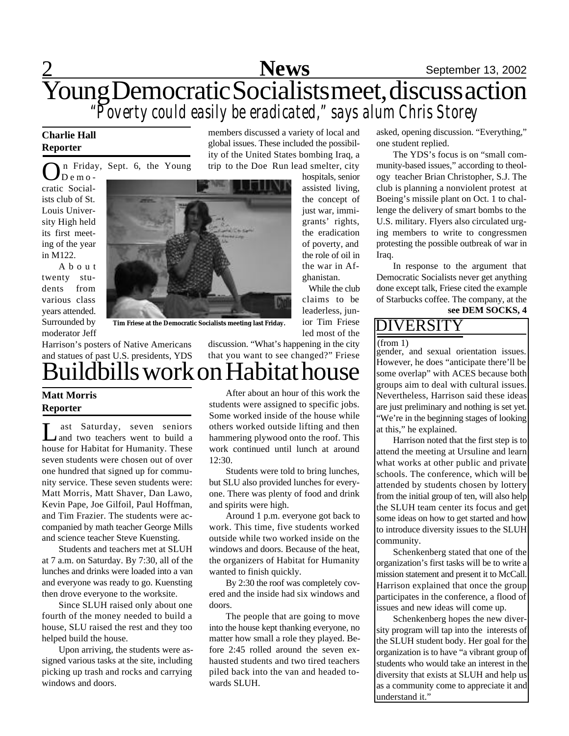## 2 **News** September 13, 2002 Young Democratic Socialists meet, discuss action *"Poverty could easily be eradicated," says alum Chris Storey*

members discussed a variety of local and global issues. These included the possibility of the United States bombing Iraq, a

### **Charlie Hall Reporter**

n Friday, Sept. 6, the Young

On Frida<br>cratic Social- $\overline{D}$  e m o ists club of St. Louis University High held its first meeting of the year in M122.

A b o u t twenty students from various class years attended. Surrounded by moderator Jeff



**Tim Friese at the Democratic Socialists meeting last Friday.**

Harrison's posters of Native Americans and statues of past U.S. presidents, YDS uildbills work on Habitat house

### **Matt Morris Reporter**

L ast Saturday, seven seniors and two teachers went to build a house for Habitat for Humanity. These seven students were chosen out of over one hundred that signed up for community service. These seven students were: Matt Morris, Matt Shaver, Dan Lawo, Kevin Pape, Joe Gilfoil, Paul Hoffman, and Tim Frazier. The students were accompanied by math teacher George Mills and science teacher Steve Kuensting.

Students and teachers met at SLUH at 7 a.m. on Saturday. By 7:30, all of the lunches and drinks were loaded into a van and everyone was ready to go. Kuensting then drove everyone to the worksite.

Since SLUH raised only about one fourth of the money needed to build a house, SLU raised the rest and they too helped build the house.

Upon arriving, the students were assigned various tasks at the site, including picking up trash and rocks and carrying windows and doors.

After about an hour of this work the students were assigned to specific jobs. Some worked inside of the house while others worked outside lifting and then hammering plywood onto the roof. This work continued until lunch at around 12:30.

discussion. "What's happening in the city that you want to see changed?" Friese

Students were told to bring lunches, but SLU also provided lunches for everyone. There was plenty of food and drink and spirits were high.

Around 1 p.m. everyone got back to work. This time, five students worked outside while two worked inside on the windows and doors. Because of the heat, the organizers of Habitat for Humanity wanted to finish quickly.

By 2:30 the roof was completely covered and the inside had six windows and doors.

The people that are going to move into the house kept thanking everyone, no matter how small a role they played. Before 2:45 rolled around the seven exhausted students and two tired teachers piled back into the van and headed towards SLUH.

asked, opening discussion. "Everything," one student replied.

The YDS's focus is on "small community-based issues," according to theology teacher Brian Christopher, S.J. The club is planning a nonviolent protest at Boeing's missile plant on Oct. 1 to challenge the delivery of smart bombs to the U.S. military. Flyers also circulated urging members to write to congressmen protesting the possible outbreak of war in Iraq.

In response to the argument that Democratic Socialists never get anything done except talk, Friese cited the example of Starbucks coffee. The company, at the

### **see DEM SOCKS, 4**

### DIVERSITY

 $(from 1)$ 

While the club

ior Tim Friese led most of the

> gender, and sexual orientation issues. However, he does "anticipate there'll be some overlap" with ACES because both groups aim to deal with cultural issues. Nevertheless, Harrison said these ideas are just preliminary and nothing is set yet. "We're in the beginning stages of looking at this," he explained.

> Harrison noted that the first step is to attend the meeting at Ursuline and learn what works at other public and private schools. The conference, which will be attended by students chosen by lottery from the initial group of ten, will also help the SLUH team center its focus and get some ideas on how to get started and how to introduce diversity issues to the SLUH community.

> Schenkenberg stated that one of the organization's first tasks will be to write a mission statement and present it to McCall. Harrison explained that once the group participates in the conference, a flood of issues and new ideas will come up.

> Schenkenberg hopes the new diversity program will tap into the interests of the SLUH student body. Her goal for the organization is to have "a vibrant group of students who would take an interest in the diversity that exists at SLUH and help us as a community come to appreciate it and understand it."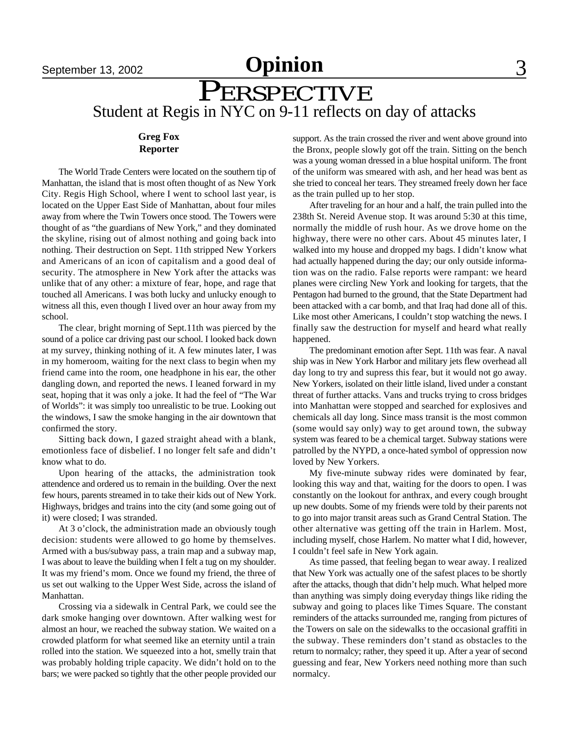## September 13, 2002 **Opinion** 3

## PERSPECTIVE Student at Regis in NYC on 9-11 reflects on day of attacks

### **Greg Fox Reporter**

The World Trade Centers were located on the southern tip of Manhattan, the island that is most often thought of as New York City. Regis High School, where I went to school last year, is located on the Upper East Side of Manhattan, about four miles away from where the Twin Towers once stood. The Towers were thought of as "the guardians of New York," and they dominated the skyline, rising out of almost nothing and going back into nothing. Their destruction on Sept. 11th stripped New Yorkers and Americans of an icon of capitalism and a good deal of security. The atmosphere in New York after the attacks was unlike that of any other: a mixture of fear, hope, and rage that touched all Americans. I was both lucky and unlucky enough to witness all this, even though I lived over an hour away from my school.

The clear, bright morning of Sept.11th was pierced by the sound of a police car driving past our school. I looked back down at my survey, thinking nothing of it. A few minutes later, I was in my homeroom, waiting for the next class to begin when my friend came into the room, one headphone in his ear, the other dangling down, and reported the news. I leaned forward in my seat, hoping that it was only a joke. It had the feel of "The War of Worlds": it was simply too unrealistic to be true. Looking out the windows, I saw the smoke hanging in the air downtown that confirmed the story.

Sitting back down, I gazed straight ahead with a blank, emotionless face of disbelief. I no longer felt safe and didn't know what to do.

Upon hearing of the attacks, the administration took attendence and ordered us to remain in the building. Over the next few hours, parents streamed in to take their kids out of New York. Highways, bridges and trains into the city (and some going out of it) were closed; I was stranded.

At 3 o'clock, the administration made an obviously tough decision: students were allowed to go home by themselves. Armed with a bus/subway pass, a train map and a subway map, I was about to leave the building when I felt a tug on my shoulder. It was my friend's mom. Once we found my friend, the three of us set out walking to the Upper West Side, across the island of Manhattan.

Crossing via a sidewalk in Central Park, we could see the dark smoke hanging over downtown. After walking west for almost an hour, we reached the subway station. We waited on a crowded platform for what seemed like an eternity until a train rolled into the station. We squeezed into a hot, smelly train that was probably holding triple capacity. We didn't hold on to the bars; we were packed so tightly that the other people provided our support. As the train crossed the river and went above ground into the Bronx, people slowly got off the train. Sitting on the bench was a young woman dressed in a blue hospital uniform. The front of the uniform was smeared with ash, and her head was bent as she tried to conceal her tears. They streamed freely down her face as the train pulled up to her stop.

After traveling for an hour and a half, the train pulled into the 238th St. Nereid Avenue stop. It was around 5:30 at this time, normally the middle of rush hour. As we drove home on the highway, there were no other cars. About 45 minutes later, I walked into my house and dropped my bags. I didn't know what had actually happened during the day; our only outside information was on the radio. False reports were rampant: we heard planes were circling New York and looking for targets, that the Pentagon had burned to the ground, that the State Department had been attacked with a car bomb, and that Iraq had done all of this. Like most other Americans, I couldn't stop watching the news. I finally saw the destruction for myself and heard what really happened.

The predominant emotion after Sept. 11th was fear. A naval ship was in New York Harbor and military jets flew overhead all day long to try and supress this fear, but it would not go away. New Yorkers, isolated on their little island, lived under a constant threat of further attacks. Vans and trucks trying to cross bridges into Manhattan were stopped and searched for explosives and chemicals all day long. Since mass transit is the most common (some would say only) way to get around town, the subway system was feared to be a chemical target. Subway stations were patrolled by the NYPD, a once-hated symbol of oppression now loved by New Yorkers.

My five-minute subway rides were dominated by fear, looking this way and that, waiting for the doors to open. I was constantly on the lookout for anthrax, and every cough brought up new doubts. Some of my friends were told by their parents not to go into major transit areas such as Grand Central Station. The other alternative was getting off the train in Harlem. Most, including myself, chose Harlem. No matter what I did, however, I couldn't feel safe in New York again.

As time passed, that feeling began to wear away. I realized that New York was actually one of the safest places to be shortly after the attacks, though that didn't help much. What helped more than anything was simply doing everyday things like riding the subway and going to places like Times Square. The constant reminders of the attacks surrounded me, ranging from pictures of the Towers on sale on the sidewalks to the occasional graffiti in the subway. These reminders don't stand as obstacles to the return to normalcy; rather, they speed it up. After a year of second guessing and fear, New Yorkers need nothing more than such normalcy.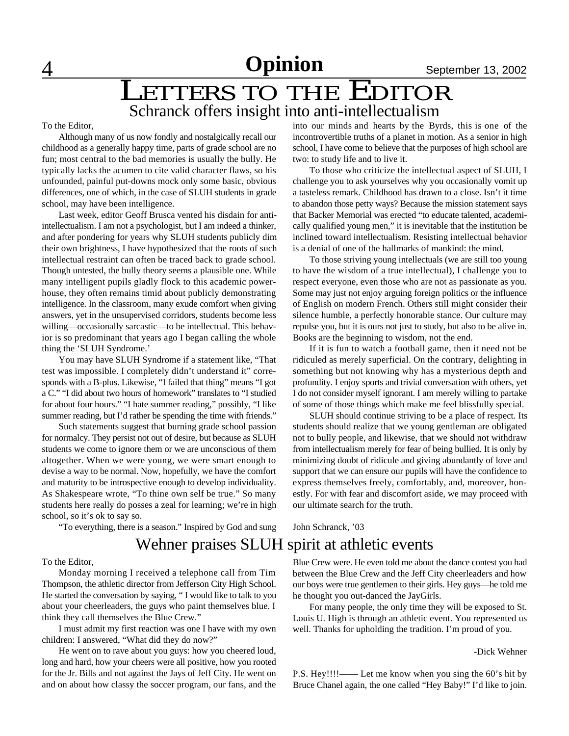## 4 **Opinion** September 13, 2002

## **LETTERS TO THE EDITOR** Schranck offers insight into anti-intellectualism

#### To the Editor,

Although many of us now fondly and nostalgically recall our childhood as a generally happy time, parts of grade school are no fun; most central to the bad memories is usually the bully. He typically lacks the acumen to cite valid character flaws, so his unfounded, painful put-downs mock only some basic, obvious differences, one of which, in the case of SLUH students in grade school, may have been intelligence.

Last week, editor Geoff Brusca vented his disdain for antiintellectualism. I am not a psychologist, but I am indeed a thinker, and after pondering for years why SLUH students publicly dim their own brightness, I have hypothesized that the roots of such intellectual restraint can often be traced back to grade school. Though untested, the bully theory seems a plausible one. While many intelligent pupils gladly flock to this academic powerhouse, they often remains timid about publicly demonstrating intelligence. In the classroom, many exude comfort when giving answers, yet in the unsupervised corridors, students become less willing—occasionally sarcastic—to be intellectual. This behavior is so predominant that years ago I began calling the whole thing the 'SLUH Syndrome.'

You may have SLUH Syndrome if a statement like, "That test was impossible. I completely didn't understand it" corresponds with a B-plus. Likewise, "I failed that thing" means "I got a C." "I did about two hours of homework" translates to "I studied for about four hours." "I hate summer reading," possibly, "I like summer reading, but I'd rather be spending the time with friends."

Such statements suggest that burning grade school passion for normalcy. They persist not out of desire, but because as SLUH students we come to ignore them or we are unconscious of them altogether. When we were young, we were smart enough to devise a way to be normal. Now, hopefully, we have the comfort and maturity to be introspective enough to develop individuality. As Shakespeare wrote, "To thine own self be true." So many students here really do posses a zeal for learning; we're in high school, so it's ok to say so.

"To everything, there is a season." Inspired by God and sung

### into our minds and hearts by the Byrds, this is one of the incontrovertible truths of a planet in motion. As a senior in high school, I have come to believe that the purposes of high school are two: to study life and to live it.

To those who criticize the intellectual aspect of SLUH, I challenge you to ask yourselves why you occasionally vomit up a tasteless remark. Childhood has drawn to a close. Isn't it time to abandon those petty ways? Because the mission statement says that Backer Memorial was erected "to educate talented, academically qualified young men," it is inevitable that the institution be inclined toward intellectualism. Resisting intellectual behavior is a denial of one of the hallmarks of mankind: the mind.

To those striving young intellectuals (we are still too young to have the wisdom of a true intellectual), I challenge you to respect everyone, even those who are not as passionate as you. Some may just not enjoy arguing foreign politics or the influence of English on modern French. Others still might consider their silence humble, a perfectly honorable stance. Our culture may repulse you, but it is ours not just to study, but also to be alive in. Books are the beginning to wisdom, not the end.

If it is fun to watch a football game, then it need not be ridiculed as merely superficial. On the contrary, delighting in something but not knowing why has a mysterious depth and profundity. I enjoy sports and trivial conversation with others, yet I do not consider myself ignorant. I am merely willing to partake of some of those things which make me feel blissfully special.

SLUH should continue striving to be a place of respect. Its students should realize that we young gentleman are obligated not to bully people, and likewise, that we should not withdraw from intellectualism merely for fear of being bullied. It is only by minimizing doubt of ridicule and giving abundantly of love and support that we can ensure our pupils will have the confidence to express themselves freely, comfortably, and, moreover, honestly. For with fear and discomfort aside, we may proceed with our ultimate search for the truth.

John Schranck, '03

### Wehner praises SLUH spirit at athletic events

To the Editor,

Monday morning I received a telephone call from Tim Thompson, the athletic director from Jefferson City High School. He started the conversation by saying, " I would like to talk to you about your cheerleaders, the guys who paint themselves blue. I think they call themselves the Blue Crew."

I must admit my first reaction was one I have with my own children: I answered, "What did they do now?"

He went on to rave about you guys: how you cheered loud, long and hard, how your cheers were all positive, how you rooted for the Jr. Bills and not against the Jays of Jeff City. He went on and on about how classy the soccer program, our fans, and the Blue Crew were. He even told me about the dance contest you had between the Blue Crew and the Jeff City cheerleaders and how our boys were true gentlemen to their girls. Hey guys—he told me he thought you out-danced the JayGirls.

For many people, the only time they will be exposed to St. Louis U. High is through an athletic event. You represented us well. Thanks for upholding the tradition. I'm proud of you.

### -Dick Wehner

P.S. Hey!!!!—— Let me know when you sing the 60's hit by Bruce Chanel again, the one called "Hey Baby!" I'd like to join.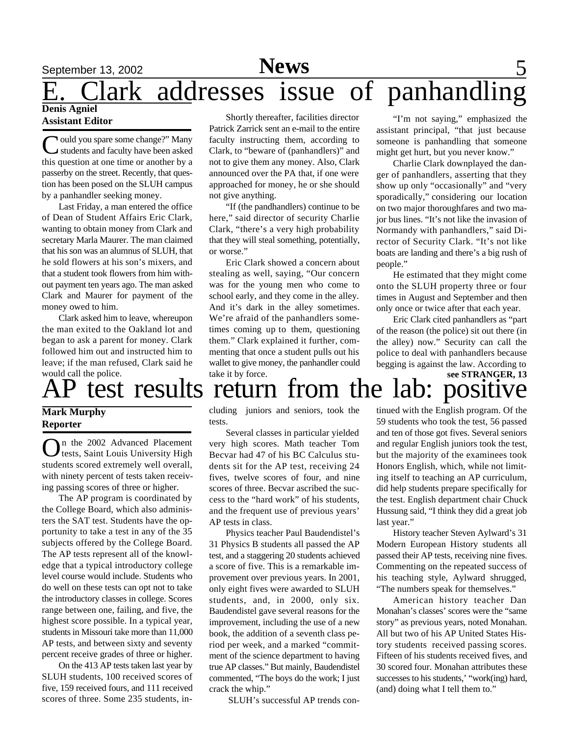## September 13, 2002 **News** 5

### **Denis Agniel** ark addresses issue of panhandling

### **Assistant Editor**

C ould you spare some change?" Many<br>students and faculty have been asked **V** ould you spare some change?" Many this question at one time or another by a passerby on the street. Recently, that question has been posed on the SLUH campus by a panhandler seeking money.

Last Friday, a man entered the office of Dean of Student Affairs Eric Clark, wanting to obtain money from Clark and secretary Marla Maurer. The man claimed that his son was an alumnus of SLUH, that he sold flowers at his son's mixers, and that a student took flowers from him without payment ten years ago. The man asked Clark and Maurer for payment of the money owed to him.

Clark asked him to leave, whereupon the man exited to the Oakland lot and began to ask a parent for money. Clark followed him out and instructed him to leave; if the man refused, Clark said he would call the police.

### **Mark Murphy Reporter**

On the 2002 Advanced Placement<br>
Lests, Saint Louis University High n the 2002 Advanced Placement students scored extremely well overall, with ninety percent of tests taken receiving passing scores of three or higher.

The AP program is coordinated by the College Board, which also administers the SAT test. Students have the opportunity to take a test in any of the 35 subjects offered by the College Board. The AP tests represent all of the knowledge that a typical introductory college level course would include. Students who do well on these tests can opt not to take the introductory classes in college. Scores range between one, failing, and five, the highest score possible. In a typical year, students in Missouri take more than 11,000 AP tests, and between sixty and seventy percent receive grades of three or higher.

On the 413 AP tests taken last year by SLUH students, 100 received scores of five, 159 received fours, and 111 received scores of three. Some 235 students, in-

Shortly thereafter, facilities director Patrick Zarrick sent an e-mail to the entire faculty instructing them, according to Clark, to "beware of (panhandlers)" and not to give them any money. Also, Clark announced over the PA that, if one were approached for money, he or she should not give anything.

"If (the pandhandlers) continue to be here," said director of security Charlie Clark, "there's a very high probability that they will steal something, potentially, or worse."

Eric Clark showed a concern about stealing as well, saying, "Our concern was for the young men who come to school early, and they come in the alley. And it's dark in the alley sometimes. We're afraid of the panhandlers sometimes coming up to them, questioning them." Clark explained it further, commenting that once a student pulls out his wallet to give money, the panhandler could take it by force.

"I'm not saying," emphasized the assistant principal, "that just because someone is panhandling that someone might get hurt, but you never know."

Charlie Clark downplayed the danger of panhandlers, asserting that they show up only "occasionally" and "very sporadically," considering our location on two major thoroughfares and two major bus lines. "It's not like the invasion of Normandy with panhandlers," said Director of Security Clark. "It's not like boats are landing and there's a big rush of people."

He estimated that they might come onto the SLUH property three or four times in August and September and then only once or twice after that each year.

Eric Clark cited panhandlers as "part of the reason (the police) sit out there (in the alley) now." Security can call the police to deal with panhandlers because begging is against the law. According to

### test results return from the lab: positive **see STRANGER, 13**

cluding juniors and seniors, took the tests.

Several classes in particular yielded very high scores. Math teacher Tom Becvar had 47 of his BC Calculus students sit for the AP test, receiving 24 fives, twelve scores of four, and nine scores of three. Becvar ascribed the success to the "hard work" of his students, and the frequent use of previous years' AP tests in class.

Physics teacher Paul Baudendistel's 31 Physics B students all passed the AP test, and a staggering 20 students achieved a score of five. This is a remarkable improvement over previous years. In 2001, only eight fives were awarded to SLUH students, and, in 2000, only six. Baudendistel gave several reasons for the improvement, including the use of a new book, the addition of a seventh class period per week, and a marked "commitment of the science department to having true AP classes." But mainly, Baudendistel commented, "The boys do the work; I just crack the whip."

SLUH's successful AP trends con-

tinued with the English program. Of the 59 students who took the test, 56 passed and ten of those got fives. Several seniors and regular English juniors took the test, but the majority of the examinees took Honors English, which, while not limiting itself to teaching an AP curriculum, did help students prepare specifically for the test. English department chair Chuck Hussung said, "I think they did a great job last year."

History teacher Steven Aylward's 31 Modern European History students all passed their AP tests, receiving nine fives. Commenting on the repeated success of his teaching style, Aylward shrugged, "The numbers speak for themselves."

American history teacher Dan Monahan's classes' scores were the "same story" as previous years, noted Monahan. All but two of his AP United States History students received passing scores. Fifteen of his students received fives, and 30 scored four. Monahan attributes these successes to his students,' "work(ing) hard, (and) doing what I tell them to."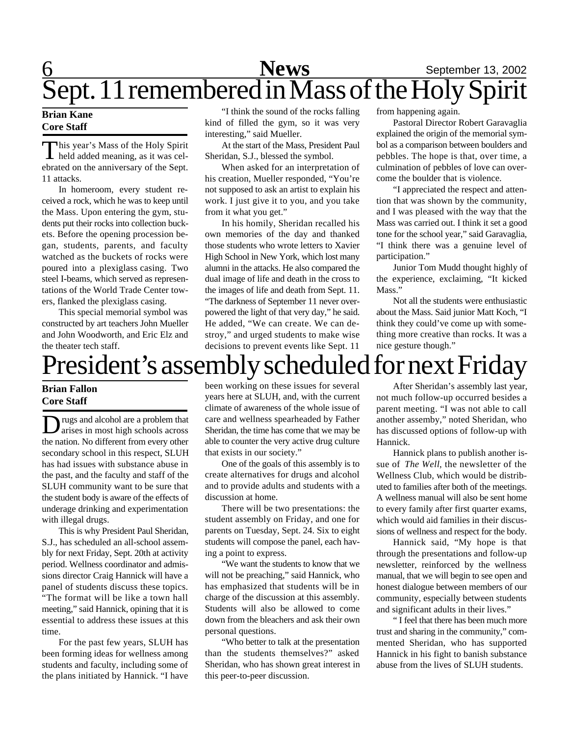## 6 **News** September 13, 2002 Sept. 11 remembered in Mass of the Holy Spirit

### **Brian Kane Core Staff**

This year's Mass of the Holy Spirit<br>held added meaning, as it was celhis year's Mass of the Holy Spirit ebrated on the anniversary of the Sept. 11 attacks.

In homeroom, every student received a rock, which he was to keep until the Mass. Upon entering the gym, students put their rocks into collection buckets. Before the opening procession began, students, parents, and faculty watched as the buckets of rocks were poured into a plexiglass casing. Two steel I-beams, which served as representations of the World Trade Center towers, flanked the plexiglass casing.

This special memorial symbol was constructed by art teachers John Mueller and John Woodworth, and Eric Elz and the theater tech staff.

"I think the sound of the rocks falling kind of filled the gym, so it was very interesting," said Mueller.

At the start of the Mass, President Paul Sheridan, S.J., blessed the symbol.

When asked for an interpretation of his creation, Mueller responded, "You're not supposed to ask an artist to explain his work. I just give it to you, and you take from it what you get."

In his homily, Sheridan recalled his own memories of the day and thanked those students who wrote letters to Xavier High School in New York, which lost many alumni in the attacks. He also compared the dual image of life and death in the cross to the images of life and death from Sept. 11. "The darkness of September 11 never overpowered the light of that very day," he said. He added, "We can create. We can destroy," and urged students to make wise decisions to prevent events like Sept. 11 from happening again.

Pastoral Director Robert Garavaglia explained the origin of the memorial symbol as a comparison between boulders and pebbles. The hope is that, over time, a culmination of pebbles of love can overcome the boulder that is violence.

"I appreciated the respect and attention that was shown by the community, and I was pleased with the way that the Mass was carried out. I think it set a good tone for the school year," said Garavaglia, "I think there was a genuine level of participation."

Junior Tom Mudd thought highly of the experience, exclaiming, "It kicked Mass."

Not all the students were enthusiastic about the Mass. Said junior Matt Koch, "I think they could've come up with something more creative than rocks. It was a nice gesture though."

## President's assembly scheduled for next Friday

### **Brian Fallon Core Staff**

D rugs and alcohol are a problem that<br>arises in most high schools across rugs and alcohol are a problem that the nation. No different from every other secondary school in this respect, SLUH has had issues with substance abuse in the past, and the faculty and staff of the SLUH community want to be sure that the student body is aware of the effects of underage drinking and experimentation with illegal drugs.

This is why President Paul Sheridan, S.J., has scheduled an all-school assembly for next Friday, Sept. 20th at activity period. Wellness coordinator and admissions director Craig Hannick will have a panel of students discuss these topics. "The format will be like a town hall meeting," said Hannick, opining that it is essential to address these issues at this time.

For the past few years, SLUH has been forming ideas for wellness among students and faculty, including some of the plans initiated by Hannick. "I have been working on these issues for several years here at SLUH, and, with the current climate of awareness of the whole issue of care and wellness spearheaded by Father Sheridan, the time has come that we may be able to counter the very active drug culture that exists in our society."

One of the goals of this assembly is to create alternatives for drugs and alcohol and to provide adults and students with a discussion at home.

There will be two presentations: the student assembly on Friday, and one for parents on Tuesday, Sept. 24. Six to eight students will compose the panel, each having a point to express.

"We want the students to know that we will not be preaching," said Hannick, who has emphasized that students will be in charge of the discussion at this assembly. Students will also be allowed to come down from the bleachers and ask their own personal questions.

"Who better to talk at the presentation than the students themselves?" asked Sheridan, who has shown great interest in this peer-to-peer discussion.

After Sheridan's assembly last year, not much follow-up occurred besides a parent meeting. "I was not able to call another assemby," noted Sheridan, who has discussed options of follow-up with Hannick.

Hannick plans to publish another issue of *The Well*, the newsletter of the Wellness Club, which would be distributed to families after both of the meetings. A wellness manual will also be sent home to every family after first quarter exams, which would aid families in their discussions of wellness and respect for the body.

Hannick said, "My hope is that through the presentations and follow-up newsletter, reinforced by the wellness manual, that we will begin to see open and honest dialogue between members of our community, especially between students and significant adults in their lives."

" I feel that there has been much more trust and sharing in the community," commented Sheridan, who has supported Hannick in his fight to banish substance abuse from the lives of SLUH students.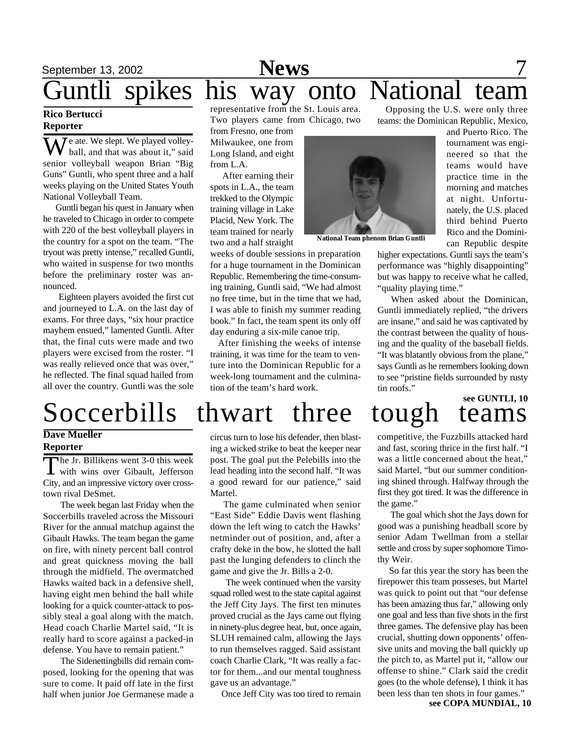## September 13, 2002 **News** 7 Guntli spikes his way onto National team

### **Rico Bertucci Reporter**

**7** e ate. We slept. We played volleyball, and that was about it," said senior volleyball weapon Brian "Big Guns" Guntli, who spent three and a half weeks playing on the United States Youth National Volleyball Team.

 Guntli began his quest in January when he traveled to Chicago in order to compete with 220 of the best volleyball players in the country for a spot on the team. "The tryout was pretty intense," recalled Guntli, who waited in suspense for two months before the preliminary roster was announced.

 Eighteen players avoided the first cut and journeyed to L.A. on the last day of exams. For three days, "six hour practice mayhem ensued," lamented Guntli. After that, the final cuts were made and two players were excised from the roster. "I was really relieved once that was over," he reflected. The final squad hailed from all over the country. Guntli was the sole representative from the St. Louis area. Two players came from Chicago, two

from Fresno, one from Milwaukee, one from Long Island, and eight from L.A.

 After earning their spots in L.A., the team trekked to the Olympic training village in Lake Placid, New York. The team trained for nearly two and a half straight

weeks of double sessions in preparation for a huge tournament in the Dominican Republic. Remembering the time-consuming training, Guntli said, "We had almost no free time, but in the time that we had, I was able to finish my summer reading book." In fact, the team spent its only off day enduring a six-mile canoe trip.

 After finishing the weeks of intense training, it was time for the team to venture into the Dominican Republic for a week-long tournament and the culmination of the team's hard work.



**National Team phenom Brian Guntli**

teams: the Dominican Republic, Mexico, and Puerto Rico. The tournament was engineered so that the teams would have practice time in the morning and matches at night. Unfortunately, the U.S. placed third behind Puerto Rico and the Dominican Republic despite

higher expectations. Guntli says the team's performance was "highly disappointing" but was happy to receive what he called, "quality playing time."

Opposing the U.S. were only three

When asked about the Dominican, Guntli immediately replied, "the drivers are insane," and said he was captivated by the contrast between the quality of housing and the quality of the baseball fields. "It was blatantly obvious from the plane," says Guntli as he remembers looking down to see "pristine fields surrounded by rusty tin roofs."

# **see GUNTLI, 10**

# Soccerbills thwart three tough teams

### **Dave Mueller Reporter**

The Jr. Billikens went 3-0 this week<br>with wins over Gibault, Jefferson he Jr. Billikens went 3-0 this week City, and an impressive victory over crosstown rival DeSmet.

 The week began last Friday when the Soccerbills traveled across the Missouri River for the annual matchup against the Gibault Hawks. The team began the game on fire, with ninety percent ball control and great quickness moving the ball through the midfield. The overmatched Hawks waited back in a defensive shell, having eight men behind the ball while looking for a quick counter-attack to possibly steal a goal along with the match. Head coach Charlie Martel said, "It is really hard to score against a packed-in defense. You have to remain patient."

 The Sidenettingbills did remain composed, looking for the opening that was sure to come. It paid off late in the first half when junior Joe Germanese made a

circus turn to lose his defender, then blasting a wicked strike to beat the keeper near post. The goal put the Pelebills into the lead heading into the second half. "It was a good reward for our patience," said Martel.

 The game culminated when senior "East Side" Eddie Davis went flashing down the left wing to catch the Hawks' netminder out of position, and, after a crafty deke in the bow, he slotted the ball past the lunging defenders to clinch the game and give the Jr. Bills a 2-0.

 The week continued when the varsity squad rolled west to the state capital against the Jeff City Jays. The first ten minutes proved crucial as the Jays came out flying in ninety-plus degree heat, but, once again, SLUH remained calm, allowing the Jays to run themselves ragged. Said assistant coach Charlie Clark, "It was really a factor for them...and our mental toughness gave us an advantage."

Once Jeff City was too tired to remain

competitive, the Fuzzbills attacked hard and fast, scoring thrice in the first half. "I was a little concerned about the heat," said Martel, "but our summer conditioning shined through. Halfway through the first they got tired. It was the difference in the game."

 The goal which shot the Jays down for good was a punishing headball score by senior Adam Twellman from a stellar settle and cross by super sophomore Timothy Weir.

 So far this year the story has been the firepower this team posseses, but Martel was quick to point out that "our defense has been amazing thus far," allowing only one goal and less than five shots in the first three games. The defensive play has been crucial, shutting down opponents' offensive units and moving the ball quickly up the pitch to, as Martel put it, "allow our offense to shine." Clark said the credit goes (to the whole defense), I think it has been less than ten shots in four games."

#### **see COPA MUNDIAL, 10**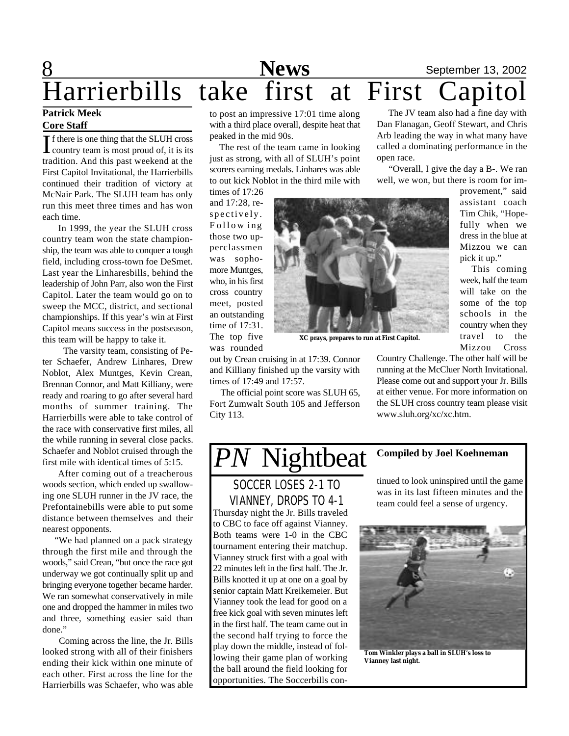## **8** September 13, 2002 Harrierbills take first at First Capitol

### **Patrick Meek Core Staff**

If there is one thing that the SLUH cross<br>country team is most proud of, it is its f there is one thing that the SLUH cross tradition. And this past weekend at the First Capitol Invitational, the Harrierbills continued their tradition of victory at McNair Park. The SLUH team has only run this meet three times and has won each time.

 In 1999, the year the SLUH cross country team won the state championship, the team was able to conquer a tough field, including cross-town foe DeSmet. Last year the Linharesbills, behind the leadership of John Parr, also won the First Capitol. Later the team would go on to sweep the MCC, district, and sectional championships. If this year's win at First Capitol means success in the postseason, this team will be happy to take it.

 The varsity team, consisting of Peter Schaefer, Andrew Linhares, Drew Noblot, Alex Muntges, Kevin Crean, Brennan Connor, and Matt Killiany, were ready and roaring to go after several hard months of summer training. The Harrierbills were able to take control of the race with conservative first miles, all the while running in several close packs. Schaefer and Noblot cruised through the first mile with identical times of 5:15.

 After coming out of a treacherous woods section, which ended up swallowing one SLUH runner in the JV race, the Prefontainebills were able to put some distance between themselves and their nearest opponents.

 "We had planned on a pack strategy through the first mile and through the woods," said Crean, "but once the race got underway we got continually split up and bringing everyone together became harder. We ran somewhat conservatively in mile one and dropped the hammer in miles two and three, something easier said than done."

 Coming across the line, the Jr. Bills looked strong with all of their finishers ending their kick within one minute of each other. First across the line for the Harrierbills was Schaefer, who was able to post an impressive 17:01 time along with a third place overall, despite heat that peaked in the mid 90s.

 The rest of the team came in looking just as strong, with all of SLUH's point scorers earning medals. Linhares was able to out kick Noblot in the third mile with

times of 17:26 and 17:28, respectively. F ollow ing those two upperclassmen was sophomore Muntges, who, in his first cross country meet, posted an outstanding time of 17:31. The top five was rounded



**XC prays, prepares to run at First Capitol.**

out by Crean cruising in at 17:39. Connor and Killiany finished up the varsity with times of 17:49 and 17:57.

 The official point score was SLUH 65, Fort Zumwalt South 105 and Jefferson City 113.

 The JV team also had a fine day with Dan Flanagan, Geoff Stewart, and Chris Arb leading the way in what many have called a dominating performance in the open race.

 "Overall, I give the day a B-. We ran well, we won, but there is room for im-

> provement," said assistant coach Tim Chik, "Hopefully when we dress in the blue at Mizzou we can pick it up."

> This coming week, half the team will take on the some of the top schools in the country when they travel to the Mizzou Cross

Country Challenge. The other half will be running at the McCluer North Invitational. Please come out and support your Jr. Bills at either venue. For more information on the SLUH cross country team please visit www.sluh.org/xc/xc.htm.

## *PN* Nightbeat **Compiled by Joel Koehneman**

Thursday night the Jr. Bills traveled to CBC to face off against Vianney. Both teams were 1-0 in the CBC tournament entering their matchup. Vianney struck first with a goal with 22 minutes left in the first half. The Jr. Bills knotted it up at one on a goal by senior captain Matt Kreikemeier. But Vianney took the lead for good on a free kick goal with seven minutes left in the first half. The team came out in the second half trying to force the play down the middle, instead of following their game plan of working the ball around the field looking for opportunities. The Soccerbills con-SOCCER LOSES 2-1 TO VIANNEY, DROPS TO 4-1

tinued to look uninspired until the game was in its last fifteen minutes and the team could feel a sense of urgency.



**Tom Winkler plays a ball in SLUH's loss to Vianney last night.**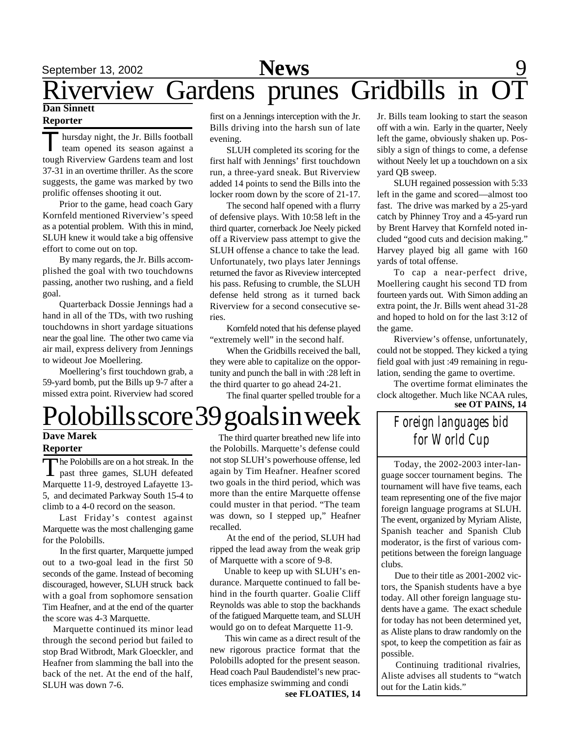### **Dan Sinnett Reporter**

Thursday night, the Jr. Bills football<br>team opened its season against a hursday night, the Jr. Bills football tough Riverview Gardens team and lost 37-31 in an overtime thriller. As the score suggests, the game was marked by two prolific offenses shooting it out.

Prior to the game, head coach Gary Kornfeld mentioned Riverview's speed as a potential problem. With this in mind, SLUH knew it would take a big offensive effort to come out on top.

By many regards, the Jr. Bills accomplished the goal with two touchdowns passing, another two rushing, and a field goal.

Quarterback Dossie Jennings had a hand in all of the TDs, with two rushing touchdowns in short yardage situations near the goal line. The other two came via air mail, express delivery from Jennings to wideout Joe Moellering.

Moellering's first touchdown grab, a 59-yard bomb, put the Bills up 9-7 after a missed extra point. Riverview had scored first on a Jennings interception with the Jr. Bills driving into the harsh sun of late evening.

SLUH completed its scoring for the first half with Jennings' first touchdown run, a three-yard sneak. But Riverview added 14 points to send the Bills into the locker room down by the score of 21-17.

The second half opened with a flurry of defensive plays. With 10:58 left in the third quarter, cornerback Joe Neely picked off a Riverview pass attempt to give the SLUH offense a chance to take the lead. Unfortunately, two plays later Jennings returned the favor as Riveview intercepted his pass. Refusing to crumble, the SLUH defense held strong as it turned back Riverview for a second consecutive series.

Kornfeld noted that his defense played "extremely well" in the second half.

When the Gridbills received the ball, they were able to capitalize on the opportunity and punch the ball in with :28 left in the third quarter to go ahead 24-21.

The final quarter spelled trouble for a

### Jr. Bills team looking to start the season off with a win. Early in the quarter, Neely left the game, obviously shaken up. Possibly a sign of things to come, a defense without Neely let up a touchdown on a six yard QB sweep.

SLUH regained possession with 5:33 left in the game and scored—almost too fast. The drive was marked by a 25-yard catch by Phinney Troy and a 45-yard run by Brent Harvey that Kornfeld noted included "good cuts and decision making." Harvey played big all game with 160 yards of total offense.

To cap a near-perfect drive, Moellering caught his second TD from fourteen yards out. With Simon adding an extra point, the Jr. Bills went ahead 31-28 and hoped to hold on for the last 3:12 of the game.

Riverview's offense, unfortunately, could not be stopped. They kicked a tying field goal with just :49 remaining in regulation, sending the game to overtime.

The overtime format eliminates the clock altogether. Much like NCAA rules,

### *Foreign languages bid for World Cup*

 Today, the 2002-2003 inter-language soccer tournament begins. The tournament will have five teams, each team representing one of the five major foreign language programs at SLUH. The event, organized by Myriam Aliste, Spanish teacher and Spanish Club moderator, is the first of various competitions between the foreign language clubs.

 Due to their title as 2001-2002 victors, the Spanish students have a bye today. All other foreign language students have a game. The exact schedule for today has not been determined yet, as Aliste plans to draw randomly on the spot, to keep the competition as fair as possible.

Continuing traditional rivalries, Aliste advises all students to "watch out for the Latin kids."

# **see OT PAINS, 14** Polobills score 39 goals in week

### **Dave Marek Reporter**

The Polobills are on a hot streak. In the past three games, SLUH defeated he Polobills are on a hot streak. In the Marquette 11-9, destroyed Lafayette 13- 5, and decimated Parkway South 15-4 to climb to a 4-0 record on the season.

Last Friday's contest against Marquette was the most challenging game for the Polobills.

 In the first quarter, Marquette jumped out to a two-goal lead in the first 50 seconds of the game. Instead of becoming discouraged, however, SLUH struck back with a goal from sophomore sensation Tim Heafner, and at the end of the quarter the score was 4-3 Marquette.

 Marquette continued its minor lead through the second period but failed to stop Brad Witbrodt, Mark Gloeckler, and Heafner from slamming the ball into the back of the net. At the end of the half, SLUH was down 7-6.

 The third quarter breathed new life into the Polobills. Marquette's defense could not stop SLUH's powerhouse offense, led again by Tim Heafner. Heafner scored two goals in the third period, which was more than the entire Marquette offense could muster in that period. "The team was down, so I stepped up," Heafner recalled.

At the end of the period, SLUH had ripped the lead away from the weak grip of Marquette with a score of 9-8.

 Unable to keep up with SLUH's endurance. Marquette continued to fall behind in the fourth quarter. Goalie Cliff Reynolds was able to stop the backhands of the fatigued Marquette team, and SLUH would go on to defeat Marquette 11-9.

 This win came as a direct result of the new rigorous practice format that the Polobills adopted for the present season. Head coach Paul Baudendistel's new practices emphasize swimming and condi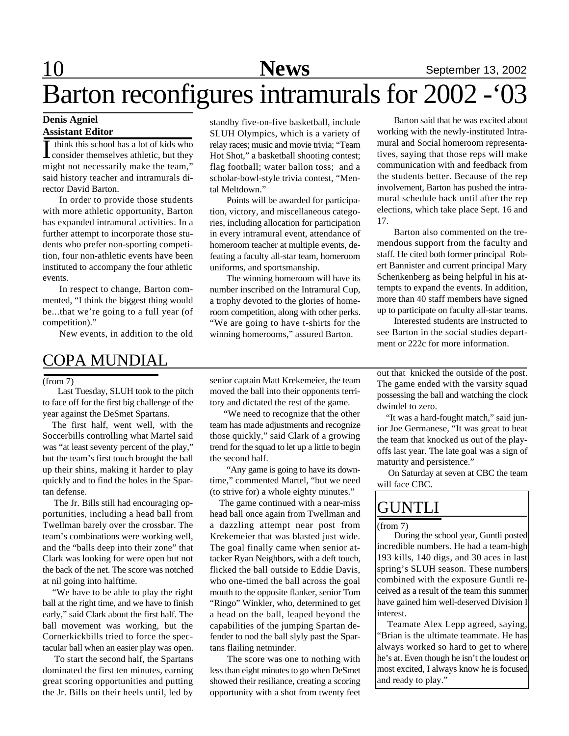# Barton reconfigures intramurals for 2002 -'03

### **Denis Agniel Assistant Editor**

I think this school has a lot of kids who<br>Consider themselves athletic, but they think this school has a lot of kids who might not necessarily make the team," said history teacher and intramurals director David Barton.

In order to provide those students with more athletic opportunity, Barton has expanded intramural activities. In a further attempt to incorporate those students who prefer non-sporting competition, four non-athletic events have been instituted to accompany the four athletic events.

In respect to change, Barton commented, "I think the biggest thing would be...that we're going to a full year (of competition)."

New events, in addition to the old

### COPA MUNDIAL

#### (from 7)

 Last Tuesday, SLUH took to the pitch to face off for the first big challenge of the year against the DeSmet Spartans.

The first half, went well, with the Soccerbills controlling what Martel said was "at least seventy percent of the play," but the team's first touch brought the ball up their shins, making it harder to play quickly and to find the holes in the Spartan defense.

 The Jr. Bills still had encouraging opportunities, including a head ball from Twellman barely over the crossbar. The team's combinations were working well, and the "balls deep into their zone" that Clark was looking for were open but not the back of the net. The score was notched at nil going into halftime.

 "We have to be able to play the right ball at the right time, and we have to finish early," said Clark about the first half. The ball movement was working, but the Cornerkickbills tried to force the spectacular ball when an easier play was open.

 To start the second half, the Spartans dominated the first ten minutes, earning great scoring opportunities and putting the Jr. Bills on their heels until, led by

standby five-on-five basketball, include SLUH Olympics, which is a variety of relay races; music and movie trivia; "Team Hot Shot," a basketball shooting contest; flag football; water ballon toss; and a scholar-bowl-style trivia contest, "Mental Meltdown."

Points will be awarded for participation, victory, and miscellaneous categories, including allocation for participation in every intramural event, attendance of homeroom teacher at multiple events, defeating a faculty all-star team, homeroom uniforms, and sportsmanship.

The winning homeroom will have its number inscribed on the Intramural Cup, a trophy devoted to the glories of homeroom competition, along with other perks. "We are going to have t-shirts for the winning homerooms," assured Barton.

senior captain Matt Krekemeier, the team moved the ball into their opponents territory and dictated the rest of the game.

 "We need to recognize that the other team has made adjustments and recognize those quickly," said Clark of a growing trend for the squad to let up a little to begin the second half.

 "Any game is going to have its downtime," commented Martel, "but we need (to strive for) a whole eighty minutes."

 The game continued with a near-miss head ball once again from Twellman and a dazzling attempt near post from Krekemeier that was blasted just wide. The goal finally came when senior attacker Ryan Neighbors, with a deft touch, flicked the ball outside to Eddie Davis, who one-timed the ball across the goal mouth to the opposite flanker, senior Tom "Ringo" Winkler, who, determined to get a head on the ball, leaped beyond the capabilities of the jumping Spartan defender to nod the ball slyly past the Spartans flailing netminder.

 The score was one to nothing with less than eight minutes to go when DeSmet showed their resiliance, creating a scoring opportunity with a shot from twenty feet

Barton said that he was excited about working with the newly-instituted Intramural and Social homeroom representatives, saying that those reps will make communication with and feedback from the students better. Because of the rep involvement, Barton has pushed the intramural schedule back until after the rep elections, which take place Sept. 16 and 17.

Barton also commented on the tremendous support from the faculty and staff. He cited both former principal Robert Bannister and current principal Mary Schenkenberg as being helpful in his attempts to expand the events. In addition, more than 40 staff members have signed up to participate on faculty all-star teams.

Interested students are instructed to see Barton in the social studies department or 222c for more information.

out that knicked the outside of the post. The game ended with the varsity squad possessing the ball and watching the clock dwindel to zero.

 "It was a hard-fought match," said junior Joe Germanese, "It was great to beat the team that knocked us out of the playoffs last year. The late goal was a sign of maturity and persistence."

 On Saturday at seven at CBC the team will face CBC.

### GUNTLI

#### (from 7)

 During the school year, Guntli posted incredible numbers. He had a team-high 193 kills, 140 digs, and 30 aces in last spring's SLUH season. These numbers combined with the exposure Guntli received as a result of the team this summer have gained him well-deserved Division I interest.

 Teamate Alex Lepp agreed, saying, "Brian is the ultimate teammate. He has always worked so hard to get to where he's at. Even though he isn't the loudest or most excited, I always know he is focused and ready to play."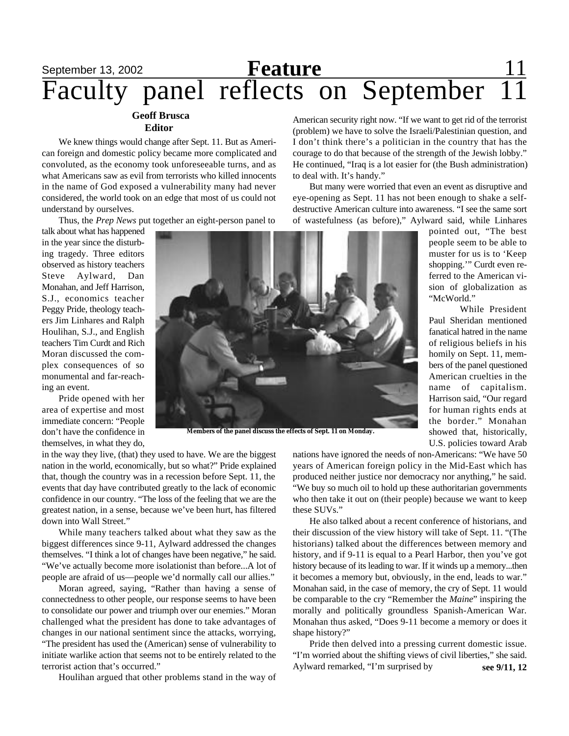### September 13, 2002 **Reature** 11 Faculty panel reflects on September 11 **Feature**

### **Geoff Brusca Editor**

We knew things would change after Sept. 11. But as American foreign and domestic policy became more complicated and convoluted, as the economy took unforeseeable turns, and as what Americans saw as evil from terrorists who killed innocents in the name of God exposed a vulnerability many had never considered, the world took on an edge that most of us could not understand by ourselves.

Thus, the *Prep News* put together an eight-person panel to

talk about what has happened in the year since the disturbing tragedy. Three editors observed as history teachers Steve Aylward, Dan Monahan, and Jeff Harrison, S.J., economics teacher Peggy Pride, theology teachers Jim Linhares and Ralph Houlihan, S.J., and English teachers Tim Curdt and Rich Moran discussed the complex consequences of so monumental and far-reaching an event.

Pride opened with her area of expertise and most immediate concern: "People don't have the confidence in themselves, in what they do,



**Members of the panel discuss the effects of Sept. 11 on Monday.**

in the way they live, (that) they used to have. We are the biggest nation in the world, economically, but so what?" Pride explained that, though the country was in a recession before Sept. 11, the events that day have contributed greatly to the lack of economic confidence in our country. "The loss of the feeling that we are the greatest nation, in a sense, because we've been hurt, has filtered down into Wall Street."

While many teachers talked about what they saw as the biggest differences since 9-11, Aylward addressed the changes themselves. "I think a lot of changes have been negative," he said. "We've actually become more isolationist than before...A lot of people are afraid of us—people we'd normally call our allies."

Moran agreed, saying, "Rather than having a sense of connectedness to other people, our response seems to have been to consolidate our power and triumph over our enemies." Moran challenged what the president has done to take advantages of changes in our national sentiment since the attacks, worrying, "The president has used the (American) sense of vulnerability to initiate warlike action that seems not to be entirely related to the terrorist action that's occurred."

Houlihan argued that other problems stand in the way of

American security right now. "If we want to get rid of the terrorist (problem) we have to solve the Israeli/Palestinian question, and I don't think there's a politician in the country that has the courage to do that because of the strength of the Jewish lobby." He continued, "Iraq is a lot easier for (the Bush administration) to deal with. It's handy."

But many were worried that even an event as disruptive and eye-opening as Sept. 11 has not been enough to shake a selfdestructive American culture into awareness. "I see the same sort of wastefulness (as before)," Aylward said, while Linhares

pointed out, "The best people seem to be able to muster for us is to 'Keep shopping.'" Curdt even referred to the American vision of globalization as "McWorld."

While President Paul Sheridan mentioned fanatical hatred in the name of religious beliefs in his homily on Sept. 11, members of the panel questioned American cruelties in the name of capitalism. Harrison said, "Our regard for human rights ends at the border." Monahan showed that, historically, U.S. policies toward Arab

nations have ignored the needs of non-Americans: "We have 50 years of American foreign policy in the Mid-East which has produced neither justice nor democracy nor anything," he said. "We buy so much oil to hold up these authoritarian governments who then take it out on (their people) because we want to keep these SUVs."

He also talked about a recent conference of historians, and their discussion of the view history will take of Sept. 11. "(The historians) talked about the differences between memory and history, and if 9-11 is equal to a Pearl Harbor, then you've got history because of its leading to war. If it winds up a memory...then it becomes a memory but, obviously, in the end, leads to war." Monahan said, in the case of memory, the cry of Sept. 11 would be comparable to the cry "Remember the *Maine*" inspiring the morally and politically groundless Spanish-American War. Monahan thus asked, "Does 9-11 become a memory or does it shape history?"

Pride then delved into a pressing current domestic issue. "I'm worried about the shifting views of civil liberties," she said. Aylward remarked, "I'm surprised by **see 9/11, 12**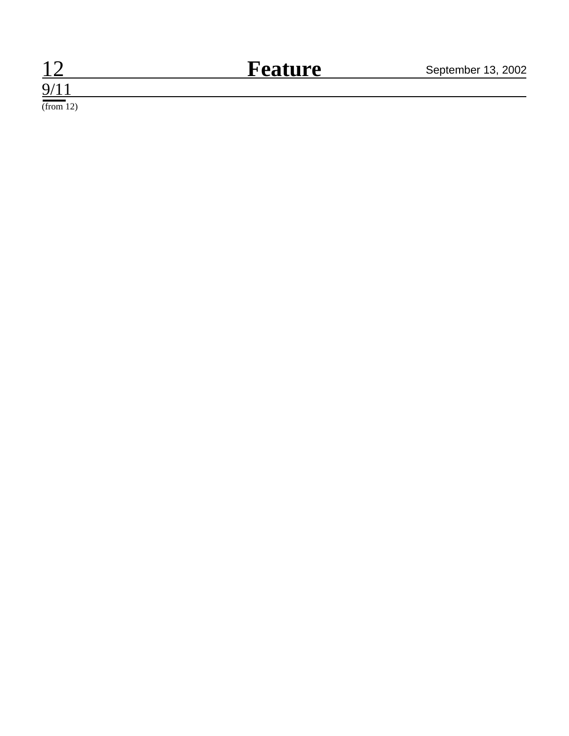### 12 **Feature** September 13, 2002 **Feature**

 $9/11$ (from 12)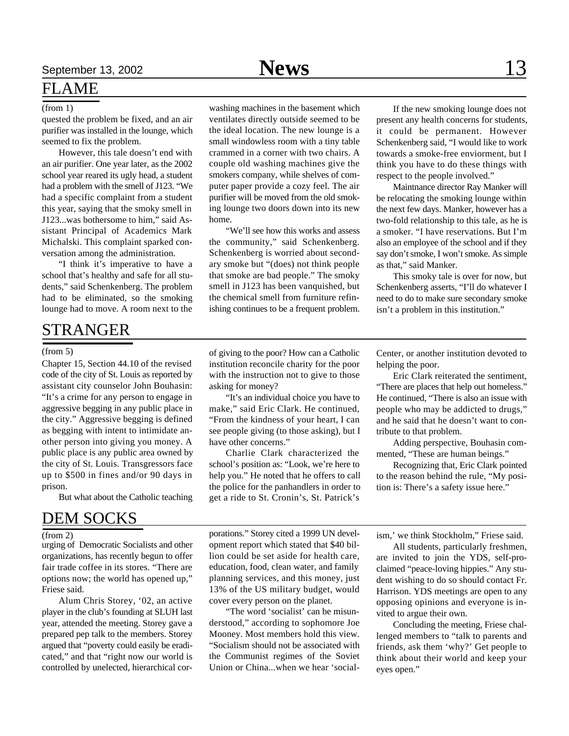### FLAME

### (from 1)

quested the problem be fixed, and an air purifier was installed in the lounge, which seemed to fix the problem.

However, this tale doesn't end with an air purifier. One year later, as the 2002 school year reared its ugly head, a student had a problem with the smell of J123. "We had a specific complaint from a student this year, saying that the smoky smell in J123...was bothersome to him," said Assistant Principal of Academics Mark Michalski. This complaint sparked conversation among the administration.

"I think it's imperative to have a school that's healthy and safe for all students," said Schenkenberg. The problem had to be eliminated, so the smoking lounge had to move. A room next to the

### STRANGER

#### (from 5)

Chapter 15, Section 44.10 of the revised code of the city of St. Louis as reported by assistant city counselor John Bouhasin: "It's a crime for any person to engage in aggressive begging in any public place in the city." Aggressive begging is defined as begging with intent to intimidate another person into giving you money. A public place is any public area owned by the city of St. Louis. Transgressors face up to \$500 in fines and/or 90 days in prison.

But what about the Catholic teaching

### DEM SOCKS

 $(from 2)$ 

urging of Democratic Socialists and other organizations, has recently begun to offer fair trade coffee in its stores. "There are options now; the world has opened up," Friese said.

Alum Chris Storey, '02, an active player in the club's founding at SLUH last year, attended the meeting. Storey gave a prepared pep talk to the members. Storey argued that "poverty could easily be eradicated," and that "right now our world is controlled by unelected, hierarchical corwashing machines in the basement which ventilates directly outside seemed to be the ideal location. The new lounge is a small windowless room with a tiny table

crammed in a corner with two chairs. A couple old washing machines give the smokers company, while shelves of computer paper provide a cozy feel. The air purifier will be moved from the old smoking lounge two doors down into its new home.

"We'll see how this works and assess the community," said Schenkenberg. Schenkenberg is worried about secondary smoke but "(does) not think people that smoke are bad people." The smoky smell in J123 has been vanquished, but the chemical smell from furniture refinishing continues to be a frequent problem.

of giving to the poor? How can a Catholic institution reconcile charity for the poor with the instruction not to give to those asking for money?

"It's an individual choice you have to make," said Eric Clark. He continued, "From the kindness of your heart, I can see people giving (to those asking), but I have other concerns."

Charlie Clark characterized the school's position as: "Look, we're here to help you." He noted that he offers to call the police for the panhandlers in order to get a ride to St. Cronin's, St. Patrick's

If the new smoking lounge does not present any health concerns for students, it could be permanent. However Schenkenberg said, "I would like to work towards a smoke-free enviorment, but I think you have to do these things with respect to the people involved."

Maintnance director Ray Manker will be relocating the smoking lounge within the next few days. Manker, however has a two-fold relationship to this tale, as he is a smoker. "I have reservations. But I'm also an employee of the school and if they say don't smoke, I won't smoke. As simple as that," said Manker.

This smoky tale is over for now, but Schenkenberg asserts, "I'll do whatever I need to do to make sure secondary smoke isn't a problem in this institution."

Center, or another institution devoted to helping the poor.

Eric Clark reiterated the sentiment, "There are places that help out homeless." He continued, "There is also an issue with people who may be addicted to drugs," and he said that he doesn't want to contribute to that problem.

Adding perspective, Bouhasin commented, "These are human beings."

Recognizing that, Eric Clark pointed to the reason behind the rule, "My position is: There's a safety issue here."

porations." Storey cited a 1999 UN development report which stated that \$40 billion could be set aside for health care, education, food, clean water, and family planning services, and this money, just 13% of the US military budget, would cover every person on the planet.

"The word 'socialist' can be misunderstood," according to sophomore Joe Mooney. Most members hold this view. "Socialism should not be associated with the Communist regimes of the Soviet Union or China...when we hear 'socialism,' we think Stockholm," Friese said.

All students, particularly freshmen, are invited to join the YDS, self-proclaimed "peace-loving hippies." Any student wishing to do so should contact Fr. Harrison. YDS meetings are open to any opposing opinions and everyone is invited to argue their own.

Concluding the meeting, Friese challenged members to "talk to parents and friends, ask them 'why?' Get people to think about their world and keep your eyes open."